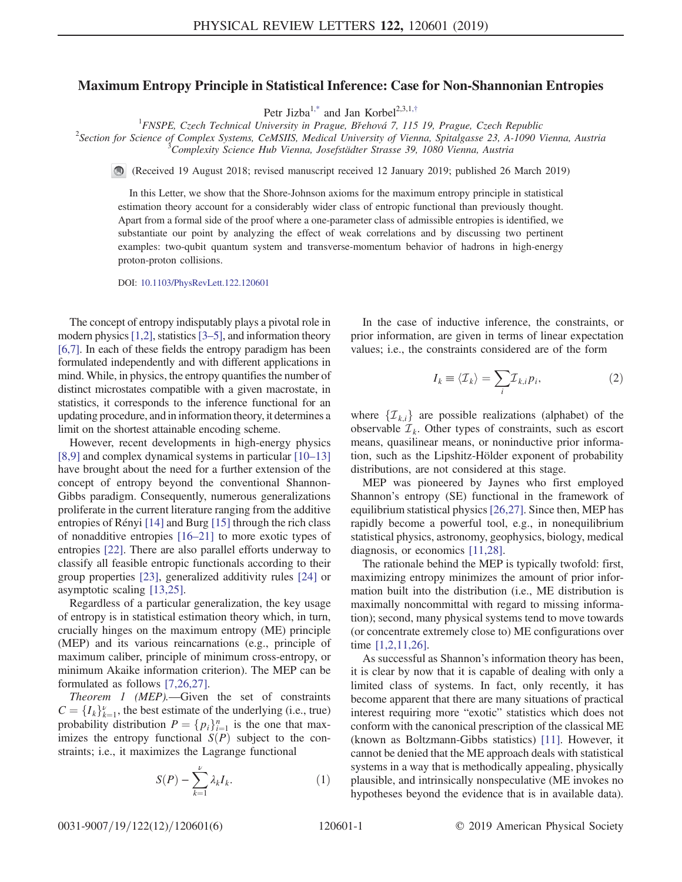## Maximum Entropy Principle in Statistical Inference: Case for Non-Shannonian Entropies

Petr Jizba<sup>1[,\\*](#page-4-0)</sup> and Jan Korbel<sup>2,3,1,[†](#page-4-1)</sup>

<span id="page-0-1"></span><sup>1</sup> FNSPE, Czech Technical University in Prague, Břehová 7, 115 19, Prague, Czech Republic<br><sup>2</sup> Section for Science of Complex Systems, CoMSIIS, Medical University of Vienna, Spitalagese 23, A 1000 V

 $2$ Section for Science of Complex Systems, CeMSIIS, Medical University of Vienna, Spitalgasse 23, A-1090 Vienna, Austria Complexity Science Hub Vienna, Josefstädter Strasse 39, 1080 Vienna, Austria

(Received 19 August 2018; revised manuscript received 12 January 2019; published 26 March 2019)

In this Letter, we show that the Shore-Johnson axioms for the maximum entropy principle in statistical estimation theory account for a considerably wider class of entropic functional than previously thought. Apart from a formal side of the proof where a one-parameter class of admissible entropies is identified, we substantiate our point by analyzing the effect of weak correlations and by discussing two pertinent examples: two-qubit quantum system and transverse-momentum behavior of hadrons in high-energy proton-proton collisions.

DOI: [10.1103/PhysRevLett.122.120601](https://doi.org/10.1103/PhysRevLett.122.120601)

The concept of entropy indisputably plays a pivotal role in modern physics  $[1,2]$ , statistics  $[3–5]$  $[3–5]$ , and information theory [\[6,7\]](#page-4-4). In each of these fields the entropy paradigm has been formulated independently and with different applications in mind. While, in physics, the entropy quantifies the number of distinct microstates compatible with a given macrostate, in statistics, it corresponds to the inference functional for an updating procedure, and in information theory, it determines a limit on the shortest attainable encoding scheme.

However, recent developments in high-energy physics [\[8,9\]](#page-4-5) and complex dynamical systems in particular [\[10](#page-4-6)–13] have brought about the need for a further extension of the concept of entropy beyond the conventional Shannon-Gibbs paradigm. Consequently, numerous generalizations proliferate in the current literature ranging from the additive entropies of Rényi [\[14\]](#page-4-7) and Burg [\[15\]](#page-4-8) through the rich class of nonadditive entropies [\[16](#page-4-9)–21] to more exotic types of entropies [\[22\].](#page-4-10) There are also parallel efforts underway to classify all feasible entropic functionals according to their group properties [\[23\]](#page-4-11), generalized additivity rules [\[24\]](#page-4-12) or asymptotic scaling [\[13,25\].](#page-4-13)

Regardless of a particular generalization, the key usage of entropy is in statistical estimation theory which, in turn, crucially hinges on the maximum entropy (ME) principle (MEP) and its various reincarnations (e.g., principle of maximum caliber, principle of minimum cross-entropy, or minimum Akaike information criterion). The MEP can be formulated as follows [\[7,26,27\]](#page-4-14).

Theorem 1 (MEP).—Given the set of constraints  $C = \{I_k\}_{k=1}^{\nu}$ , the best estimate of the underlying (i.e., true)<br>probability distribution  $P = \{p_k\}^n$  is the one that mayprobability distribution  $P = \{p_i\}_{i=1}^n$  is the one that max-<br>imizes the entropy functional  $S(P)$  subject to the conimizes the entropy functional  $S(P)$  subject to the constraints; i.e., it maximizes the Lagrange functional

$$
S(P) - \sum_{k=1}^{\nu} \lambda_k I_k. \tag{1}
$$

<span id="page-0-0"></span>In the case of inductive inference, the constraints, or prior information, are given in terms of linear expectation values; i.e., the constraints considered are of the form

$$
I_k \equiv \langle \mathcal{I}_k \rangle = \sum_i \mathcal{I}_{k,i} p_i,\tag{2}
$$

where  $\{\mathcal{I}_{k,i}\}\$  are possible realizations (alphabet) of the observable  $\mathcal{I}_k$ . Other types of constraints, such as escort means, quasilinear means, or noninductive prior information, such as the Lipshitz-Hölder exponent of probability distributions, are not considered at this stage.

MEP was pioneered by Jaynes who first employed Shannon's entropy (SE) functional in the framework of equilibrium statistical physics [\[26,27\]](#page-5-0). Since then, MEP has rapidly become a powerful tool, e.g., in nonequilibrium statistical physics, astronomy, geophysics, biology, medical diagnosis, or economics [\[11,28\]](#page-4-15).

The rationale behind the MEP is typically twofold: first, maximizing entropy minimizes the amount of prior information built into the distribution (i.e., ME distribution is maximally noncommittal with regard to missing information); second, many physical systems tend to move towards (or concentrate extremely close to) ME configurations over time [\[1,2,11,26\]](#page-4-2).

As successful as Shannon's information theory has been, it is clear by now that it is capable of dealing with only a limited class of systems. In fact, only recently, it has become apparent that there are many situations of practical interest requiring more "exotic" statistics which does not conform with the canonical prescription of the classical ME (known as Boltzmann-Gibbs statistics) [\[11\]](#page-4-15). However, it cannot be denied that the ME approach deals with statistical systems in a way that is methodically appealing, physically plausible, and intrinsically nonspeculative (ME invokes no hypotheses beyond the evidence that is in available data).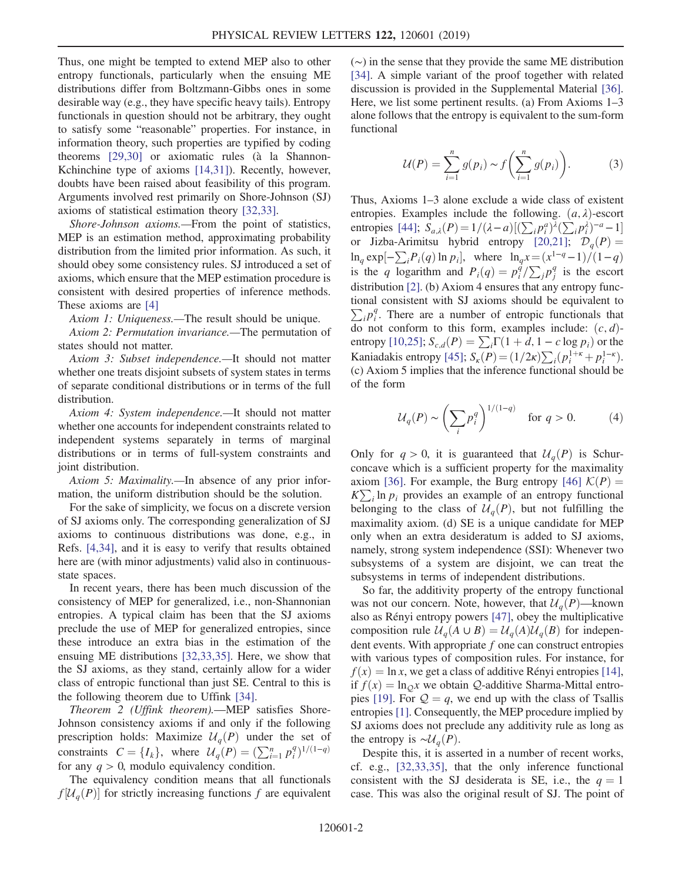Thus, one might be tempted to extend MEP also to other entropy functionals, particularly when the ensuing ME distributions differ from Boltzmann-Gibbs ones in some desirable way (e.g., they have specific heavy tails). Entropy functionals in question should not be arbitrary, they ought to satisfy some "reasonable" properties. For instance, in information theory, such properties are typified by coding theorems  $[29,30]$  or axiomatic rules (à la Shannon-Kchinchine type of axioms [\[14,31\]](#page-4-7)). Recently, however, doubts have been raised about feasibility of this program. Arguments involved rest primarily on Shore-Johnson (SJ) axioms of statistical estimation theory [\[32,33\].](#page-5-2)

Shore-Johnson axioms.—From the point of statistics, MEP is an estimation method, approximating probability distribution from the limited prior information. As such, it should obey some consistency rules. SJ introduced a set of axioms, which ensure that the MEP estimation procedure is consistent with desired properties of inference methods. These axioms are [\[4\]](#page-4-16)

Axiom 1: Uniqueness.—The result should be unique.

Axiom 2: Permutation invariance.—The permutation of states should not matter.

Axiom 3: Subset independence.—It should not matter whether one treats disjoint subsets of system states in terms of separate conditional distributions or in terms of the full distribution.

Axiom 4: System independence.—It should not matter whether one accounts for independent constraints related to independent systems separately in terms of marginal distributions or in terms of full-system constraints and joint distribution.

Axiom 5: Maximality.—In absence of any prior information, the uniform distribution should be the solution.

For the sake of simplicity, we focus on a discrete version of SJ axioms only. The corresponding generalization of SJ axioms to continuous distributions was done, e.g., in Refs. [\[4,34\],](#page-4-16) and it is easy to verify that results obtained here are (with minor adjustments) valid also in continuousstate spaces.

In recent years, there has been much discussion of the consistency of MEP for generalized, i.e., non-Shannonian entropies. A typical claim has been that the SJ axioms preclude the use of MEP for generalized entropies, since these introduce an extra bias in the estimation of the ensuing ME distributions [\[32,33,35\].](#page-5-2) Here, we show that the SJ axioms, as they stand, certainly allow for a wider class of entropic functional than just SE. Central to this is the following theorem due to Uffink [\[34\].](#page-5-3)

Theorem 2 (Uffink theorem).—MEP satisfies Shore-Johnson consistency axioms if and only if the following prescription holds: Maximize  $\mathcal{U}_q(P)$  under the set of constraints  $C = \{I_k\}$ , where  $\mathcal{U}_q(P) = (\sum_{i=1}^n p_i^q)^{1/(1-q)}$ <br>for any  $q > 0$  modulo equivalency condition for any  $q > 0$ , modulo equivalency condition.

The equivalency condition means that all functionals  $f[\mathcal{U}_q(P)]$  for strictly increasing functions f are equivalent (∼) in the sense that they provide the same ME distribution [\[34\]](#page-5-3). A simple variant of the proof together with related discussion is provided in the Supplemental Material [\[36\]](#page-5-4). Here, we list some pertinent results. (a) From Axioms 1–3 alone follows that the entropy is equivalent to the sum-form functional

$$
\mathcal{U}(P) = \sum_{i=1}^{n} g(p_i) \sim f\left(\sum_{i=1}^{n} g(p_i)\right). \tag{3}
$$

Thus, Axioms 1–3 alone exclude a wide class of existent entropies. Examples include the following.  $(a, \lambda)$ -escort entropies [\[44\]](#page-5-5);  $S_{a,\lambda}(P) = 1/(\lambda - a) [(\sum_i p_i^a)^{\lambda} (\sum_i p_i^{\lambda})^{-a} - 1]$ <br>or Lizba-Arimitsu hybrid entropy [20.21];  $D(P)$ or Jizba-Arimitsu hybrid entropy [\[20,21\];](#page-4-17)  $\mathcal{D}_q(P) =$  $\ln_q \exp[-\sum_i P_i(q) \ln p_i],$  where  $\ln_q x = (x^{1-q}-1)/(1-q)$ <br>is the a logarithm and  $P(q) = n^q/\sum_{i=1}^q p_i^q$  is the escont is the q logarithm and  $P_i(q) = p_i^{\dot{q}} / \sum_j p_j^q$  is the escort distribution [2] (b) Axiom 4 opening that only optionly function distribution [\[2\]](#page-4-18). (b) Axiom 4 ensures that any entropy functional consistent with SJ axioms should be equivalent to  $\sum_i p_i^q$ . There are a number of entropic functionals that do not conform to this form, examples include:  $(c, d)$ -entropy [\[10,25\];](#page-4-6)  $S_{c,d}(P) = \sum_i \Gamma(1 + d, 1 - c \log p_i)$  or the Kaniadakis entropy [\[45\]](#page-5-6);  $S_{\kappa}(P) = (1/2\kappa) \sum_i (p_i^{1+\kappa} + p_i^{1-\kappa}).$ <br>(c) Axiom 5 implies that the inference functional should be (c) Axiom 5 implies that the inference functional should be of the form

$$
\mathcal{U}_q(P) \sim \left(\sum_i p_i^q\right)^{1/(1-q)} \quad \text{for } q > 0. \tag{4}
$$

Only for  $q > 0$ , it is guaranteed that  $\mathcal{U}_q(P)$  is Schurconcave which is a sufficient property for the maximality axiom [\[36\]](#page-5-4). For example, the Burg entropy [\[46\]](#page-5-7)  $\mathcal{K}(P) =$  $K\sum_i \ln p_i$  provides an example of an entropy functional belonging to the class of  $U_a(P)$ , but not fulfilling the maximality axiom. (d) SE is a unique candidate for MEP only when an extra desideratum is added to SJ axioms, namely, strong system independence (SSI): Whenever two subsystems of a system are disjoint, we can treat the subsystems in terms of independent distributions.

So far, the additivity property of the entropy functional was not our concern. Note, however, that  $\mathcal{U}_a(P)$ —known also as Rényi entropy powers [\[47\],](#page-5-8) obey the multiplicative composition rule  $\mathcal{U}_a(A \cup B) = \mathcal{U}_a(A)\mathcal{U}_a(B)$  for independent events. With appropriate  $f$  one can construct entropies with various types of composition rules. For instance, for  $f(x) = \ln x$ , we get a class of additive Rényi entropies [\[14\]](#page-4-7), if  $f(x) = \ln_0 x$  we obtain Q-additive Sharma-Mittal entro-pies [\[19\].](#page-4-19) For  $Q = q$ , we end up with the class of Tsallis entropies [\[1\]](#page-4-2). Consequently, the MEP procedure implied by SJ axioms does not preclude any additivity rule as long as the entropy is  $\sim \mathcal{U}_q(P)$ .

Despite this, it is asserted in a number of recent works, cf. e.g., [\[32,33,35\]](#page-5-2), that the only inference functional consistent with the SJ desiderata is SE, i.e., the  $q = 1$ case. This was also the original result of SJ. The point of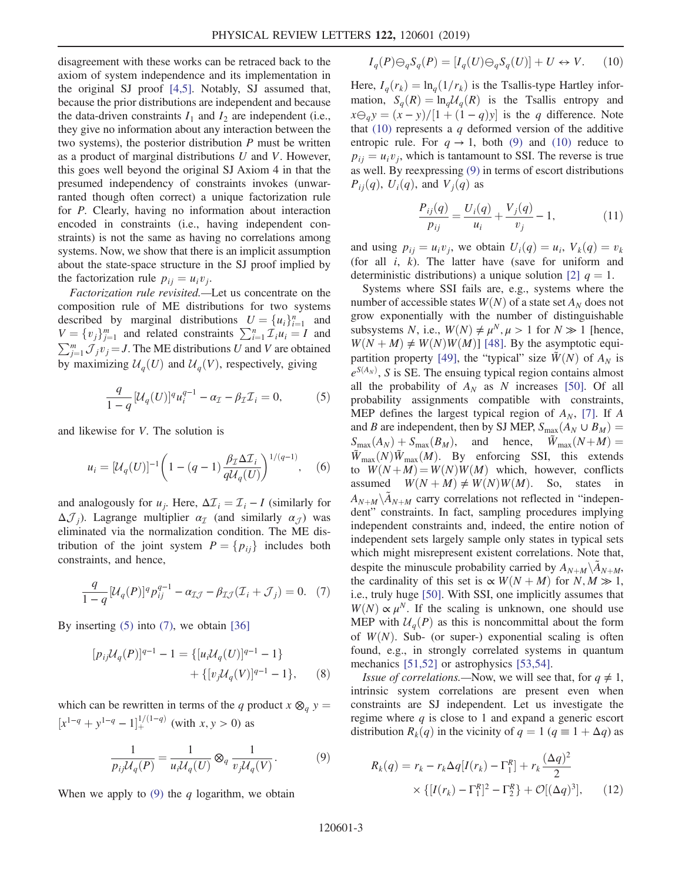disagreement with these works can be retraced back to the axiom of system independence and its implementation in the original SJ proof [\[4,5\]](#page-4-16). Notably, SJ assumed that, because the prior distributions are independent and because the data-driven constraints  $I_1$  and  $I_2$  are independent (i.e., they give no information about any interaction between the two systems), the posterior distribution  $P$  must be written as a product of marginal distributions  $U$  and  $V$ . However, this goes well beyond the original SJ Axiom 4 in that the presumed independency of constraints invokes (unwarranted though often correct) a unique factorization rule for P. Clearly, having no information about interaction encoded in constraints (i.e., having independent constraints) is not the same as having no correlations among systems. Now, we show that there is an implicit assumption about the state-space structure in the SJ proof implied by the factorization rule  $p_{ij} = u_i v_j$ .

Factorization rule revisited.—Let us concentrate on the composition rule of ME distributions for two systems described by marginal distributions  $U = \{u_i\}_{i=1}^n$  and  $V = \{v_i\}_{i=1}^m$  and related constraints  $\sum_i u_i = I$  and  $V = \{v_j\}_{j=1}^m$  and related constraints  $\sum_{i=1}^n \mathcal{I}_i u_i = I$  and  $\sum_{i=1}^m \mathcal{I}_i u_i = I$  and  $V$  are obtained  $\sum_{j=1}^{m} \mathcal{J}_j v_j = J$ . The ME distributions U and V are obtained<br>by movimizing  $\mathcal{U}_j(U)$  and  $\mathcal{U}_j(V)$  respectively giving by maximizing  $\mathcal{U}_q(U)$  and  $\mathcal{U}_q(V)$ , respectively, giving

<span id="page-2-0"></span>
$$
\frac{q}{1-q}[\mathcal{U}_q(U)]^qu_i^{q-1}-\alpha_{\mathcal{I}}-\beta_{\mathcal{I}}\mathcal{I}_i=0, \qquad (5)
$$

and likewise for V. The solution is

$$
u_i = [U_q(U)]^{-1} \left( 1 - (q-1) \frac{\beta_{\mathcal{I}} \Delta \mathcal{I}_i}{q \mathcal{U}_q(U)} \right)^{1/(q-1)}, \quad (6)
$$

<span id="page-2-1"></span>and analogously for  $u_i$ . Here,  $\Delta \mathcal{I}_i = \mathcal{I}_i - I$  (similarly for  $\Delta \mathcal{J}_i$ ). Lagrange multiplier  $\alpha_{\mathcal{I}}$  (and similarly  $\alpha_{\mathcal{J}}$ ) was eliminated via the normalization condition. The ME distribution of the joint system  $P = \{p_{ij}\}\$ includes both constraints, and hence,

$$
\frac{q}{1-q}[\mathcal{U}_q(P)]^q p_{ij}^{q-1} - \alpha_{\mathcal{I}\mathcal{J}} - \beta_{\mathcal{I}\mathcal{J}}(\mathcal{I}_i + \mathcal{J}_j) = 0. \tag{7}
$$

By inserting  $(5)$  into  $(7)$ , we obtain  $[36]$ 

$$
[p_{ij}\mathcal{U}_q(P)]^{q-1} - 1 = \{ [u_i\mathcal{U}_q(U)]^{q-1} - 1 \} + \{ [v_j\mathcal{U}_q(V)]^{q-1} - 1 \}, \qquad (8)
$$

<span id="page-2-2"></span>which can be rewritten in terms of the q product  $x \otimes_q y =$  $[x^{1-q} + y^{1-q} - 1]$  $\int_{+}^{1/(1-q)}$  (with  $x, y > 0$ ) as

$$
\frac{1}{p_{ij}\mathcal{U}_q(P)} = \frac{1}{u_i\mathcal{U}_q(U)} \otimes_q \frac{1}{v_j\mathcal{U}_q(V)}.
$$
 (9)

<span id="page-2-3"></span>When we apply to  $(9)$  the q logarithm, we obtain

$$
I_q(P)\ominus_q S_q(P) = [I_q(U)\ominus_q S_q(U)] + U \leftrightarrow V. \tag{10}
$$

Here,  $I_q(r_k) = \ln_q(1/r_k)$  is the Tsallis-type Hartley information,  $S_q(R) = \ln_q \mathcal{U}_q(R)$  is the Tsallis entropy and  $x\Theta_q y = (x - y)/[1 + (1 - q)y]$  is the q difference. Note<br>that (10) represents a q deformed version of the additive that  $(10)$  represents a q deformed version of the additive entropic rule. For  $q \rightarrow 1$ , both [\(9\)](#page-2-2) and [\(10\)](#page-2-3) reduce to  $p_{ii} = u_i v_i$ , which is tantamount to SSI. The reverse is true as well. By reexpressing [\(9\)](#page-2-2) in terms of escort distributions  $P_{ii}(q)$ ,  $U_i(q)$ , and  $V_i(q)$  as

$$
\frac{P_{ij}(q)}{p_{ij}} = \frac{U_i(q)}{u_i} + \frac{V_j(q)}{v_j} - 1,\tag{11}
$$

<span id="page-2-5"></span>and using  $p_{ii} = u_i v_i$ , we obtain  $U_i(q) = u_i$ ,  $V_k(q) = v_k$ (for all  $i$ ,  $k$ ). The latter have (save for uniform and deterministic distributions) a unique solution [\[2\]](#page-4-18)  $q = 1$ .

Systems where SSI fails are, e.g., systems where the number of accessible states  $W(N)$  of a state set  $A_N$  does not grow exponentially with the number of distinguishable subsystems N, i.e.,  $W(N) \neq \mu^N, \mu > 1$  for  $N \gg 1$  [hence,  $W(N + M) \neq W(N)W(M)$  [\[48\]](#page-5-9). By the asymptotic equi-partition property [\[49\]](#page-5-10), the "typical" size  $\tilde{W}(N)$  of  $A_N$  is  $e^{S(A_N)}$ , S is SE. The ensuing typical region contains almost all the probability of  $A_N$  as N increases [\[50\]](#page-5-11). Of all probability assignments compatible with constraints, MEP defines the largest typical region of  $A_N$ , [\[7\].](#page-4-14) If A and B are independent, then by SJ MEP,  $S_{\text{max}}(A_N \cup B_M)$  =  $S_{\text{max}}(A_N) + S_{\text{max}}(B_M)$ , and hence,  $\ddot{W}_{\text{max}}(N+M) =$  $\overline{W}_{\text{max}}(N)\overline{W}_{\text{max}}(M)$ . By enforcing SSI, this extends to  $W(N+M) = W(N)W(M)$  which, however, conflicts assumed  $W(N + M) \neq W(N)W(M)$ . So, states in  $A_{N+M} \backslash \tilde{A}_{N+M}$  carry correlations not reflected in "independent" constraints. In fact, sampling procedures implying independent constraints and, indeed, the entire notion of independent sets largely sample only states in typical sets which might misrepresent existent correlations. Note that, despite the minuscule probability carried by  $A_{N+M} \backslash A_{N+M}$ , the cardinality of this set is  $\propto W(N+M)$  for  $N, M \gg 1$ , i.e., truly huge [\[50\]](#page-5-11). With SSI, one implicitly assumes that  $W(N) \propto \mu^N$ . If the scaling is unknown, one should use MEP with  $U_a(P)$  as this is noncommittal about the form of  $W(N)$ . Sub- (or super-) exponential scaling is often found, e.g., in strongly correlated systems in quantum mechanics [\[51,52\]](#page-5-12) or astrophysics [\[53,54\]](#page-5-13).

<span id="page-2-4"></span>*Issue of correlations.*—Now, we will see that, for  $q \neq 1$ , intrinsic system correlations are present even when constraints are SJ independent. Let us investigate the regime where  $q$  is close to 1 and expand a generic escort distribution  $R_k(q)$  in the vicinity of  $q = 1 (q = 1 + \Delta q)$  as

$$
R_k(q) = r_k - r_k \Delta q [I(r_k) - \Gamma_1^R] + r_k \frac{(\Delta q)^2}{2}
$$
  
 
$$
\times \{ [I(r_k) - \Gamma_1^R]^2 - \Gamma_2^R \} + \mathcal{O}[(\Delta q)^3], \qquad (12)
$$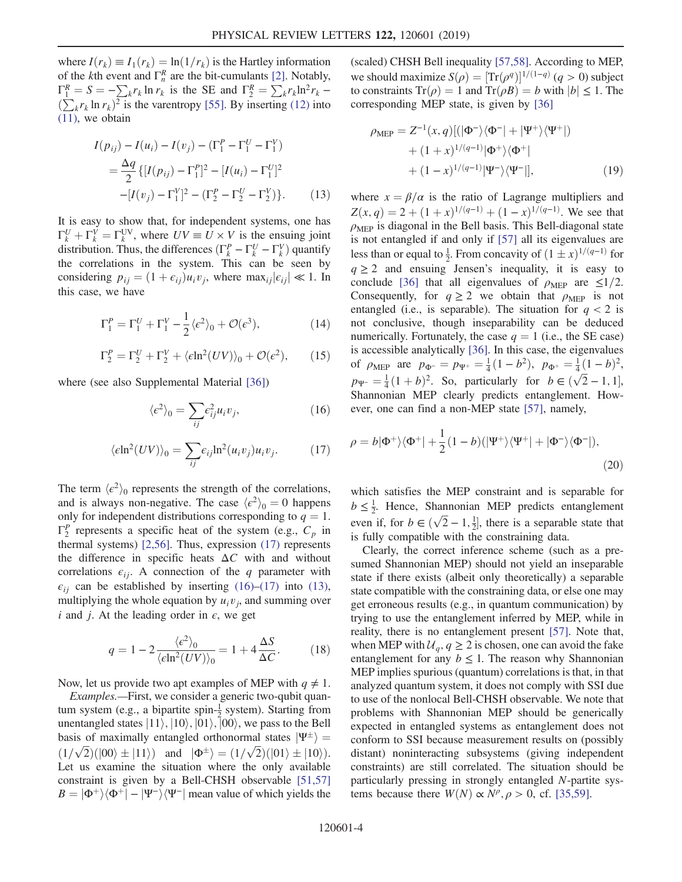where  $I(r_k) \equiv I_1(r_k) = \ln(1/r_k)$  is the Hartley information of the *k*th event and  $\Gamma_n^R$  are the bit-cumulants [\[2\].](#page-4-18) Notably,  $\Gamma_1^R = S = -\sum_k r_k \ln r_k$  is the SE and  $\Gamma_2^R = \sum_k r_k \ln^2 r_k -$ <br>  $(\sum_k r_k \ln r_k)^2$  is the varentropy [55]. By inserting (12) into  $(11)$ , we obtain  $(\sum_{k} r_k \ln r_k)^2$  is the varentropy [\[55\]](#page-5-14). By inserting [\(12\)](#page-2-4) into

<span id="page-3-2"></span>
$$
I(p_{ij}) - I(u_i) - I(v_j) - (\Gamma_1^P - \Gamma_1^U - \Gamma_1^V)
$$
  
=  $\frac{\Delta q}{2} \{ [I(p_{ij}) - \Gamma_1^P]^2 - [I(u_i) - \Gamma_1^U]^2$   
 $- [I(v_j) - \Gamma_1^V]^2 - (\Gamma_2^P - \Gamma_2^V - \Gamma_2^V) \}.$  (13)

It is easy to show that, for independent systems, one has  $\Gamma_k^V + \Gamma_k^V = \Gamma_k^{\text{UV}}$ , where  $UV \equiv U \times V$  is the ensuing joint<br>distribution Thus the differences  $(\Gamma^P - \Gamma^V - \Gamma^V)$  quantify distribution. Thus, the differences  $(\Gamma_k^P - \Gamma_k^U - \Gamma_k^V)$  quantify<br>the correlations in the system. This can be seen by the correlations in the system. This can be seen by considering  $p_{ij} = (1 + \epsilon_{ij})u_iv_j$ , where max<sub>ij</sub> $|\epsilon_{ij}| \ll 1$ . In this case, we have

$$
\Gamma_1^P = \Gamma_1^U + \Gamma_1^V - \frac{1}{2} \langle \epsilon^2 \rangle_0 + \mathcal{O}(\epsilon^3), \tag{14}
$$

$$
\Gamma_2^P = \Gamma_2^U + \Gamma_2^V + \langle \epsilon \ln^2(UV) \rangle_0 + \mathcal{O}(\epsilon^2), \qquad (15)
$$

<span id="page-3-1"></span>where (see also Supplemental Material [\[36\]](#page-5-4))

$$
\langle \epsilon^2 \rangle_0 = \sum_{ij} \epsilon_{ij}^2 u_i v_j,\tag{16}
$$

$$
\langle \epsilon \ln^2(UV) \rangle_0 = \sum_{ij} \epsilon_{ij} \ln^2(u_i v_j) u_i v_j. \tag{17}
$$

<span id="page-3-0"></span>The term  $\langle \epsilon^2 \rangle_0$  represents the strength of the correlations, and is always non-negative. The case  $\langle e^2 \rangle_0 = 0$  happens only for independent distributions corresponding to  $q = 1$ .  $\Gamma_2^P$  represents a specific heat of the system (e.g.,  $C_p$  in thermal systems) [\[2,56\]](#page-4-18). Thus, expression [\(17\)](#page-3-0) represents the difference in specific heats  $\Delta C$  with and without correlations  $\epsilon_{ij}$ . A connection of the q parameter with  $\epsilon_{ij}$  can be established by inserting [\(16\)](#page-3-1)–[\(17\)](#page-3-0) into [\(13\)](#page-3-2), multiplying the whole equation by  $u_i v_j$ , and summing over i and j. At the leading order in  $\epsilon$ , we get

<span id="page-3-3"></span>
$$
q = 1 - 2 \frac{\langle e^2 \rangle_0}{\langle \epsilon \ln^2(UV) \rangle_0} = 1 + 4 \frac{\Delta S}{\Delta C}.
$$
 (18)

Now, let us provide two apt examples of MEP with  $q \neq 1$ .

Examples.—First, we consider a generic two-qubit quantum system (e.g., a bipartite spin- $\frac{1}{2}$  system). Starting from unentangled states  $|11\rangle, |10\rangle, |01\rangle, |00\rangle$ , we pass to the Bell basis of maximally entangled orthonormal states  $|\Psi^{\pm}\rangle$  =  $(1/\sqrt{2})(|00\rangle \pm |11\rangle)$  and  $|\Phi^{\pm}\rangle = (1/\sqrt{2})(|01\rangle \pm |10\rangle).$ <br>Let us examine the situation where the only available Let us examine the situation where the only available constraint is given by a Bell-CHSH observable [\[51,57\]](#page-5-12)  $B = |\Phi^+\rangle\langle\Phi^+| - |\Psi^-\rangle\langle\Psi^-|$  mean value of which yields the

(scaled) CHSH Bell inequality [\[57,58\].](#page-5-15) According to MEP, we should maximize  $S(\rho) = [\text{Tr}(\rho^q)]^{1/(1-q)}$   $(q > 0)$  subject<br>to constraints  $\text{Tr}(\rho) - 1$  and  $\text{Tr}(\rho \mathbf{R}) - b$  with  $|b| \le 1$ . The to constraints  $Tr(\rho) = 1$  and  $Tr(\rho B) = b$  with  $|b| \le 1$ . The corresponding MEP state, is given by [\[36\]](#page-5-4)

$$
\rho_{\text{MEP}} = Z^{-1}(x, q)[(|\Phi^{-}\rangle\langle\Phi^{-}| + |\Psi^{+}\rangle\langle\Psi^{+}|) + (1+x)^{1/(q-1)}|\Phi^{+}\rangle\langle\Phi^{+}| + (1-x)^{1/(q-1)}|\Psi^{-}\rangle\langle\Psi^{-}|],
$$
(19)

where  $x = \beta/\alpha$  is the ratio of Lagrange multipliers and  $Z(x, q) = 2 + (1 + x)^{1/(q-1)} + (1 - x)^{1/(q-1)}$ . We see that  $\rho<sub>MEP</sub>$  is diagonal in the Bell basis. This Bell-diagonal state is not entangled if and only if [\[57\]](#page-5-15) all its eigenvalues are less than or equal to  $\frac{1}{2}$ . From concavity of  $(1 \pm x)^{1/(q-1)}$  for  $q > 2$ , and ensuing. Ignson's inequality, it is easy to  $q \ge 2$  and ensuing Jensen's inequality, it is easy to conclude [\[36\]](#page-5-4) that all eigenvalues of  $\rho_{\text{MEP}}$  are  $\leq 1/2$ . Consequently, for  $q \ge 2$  we obtain that  $\rho_{\text{MFP}}$  is not entangled (i.e., is separable). The situation for  $q < 2$  is not conclusive, though inseparability can be deduced numerically. Fortunately, the case  $q = 1$  (i.e., the SE case) is accessible analytically [\[36\].](#page-5-4) In this case, the eigenvalues of  $\rho_{\text{MEP}}$  are  $p_{\Phi^{-}} = p_{\Psi^{+}} = \frac{1}{4}(1 - b^2)$ ,  $p_{\Phi^{+}} = \frac{1}{4}(1 - b)^2$ ,  $p_{\Psi} = \frac{1}{4}(1+b)^2$ . So, particularly for  $b \in (\sqrt{2}-1, 1]$ ,<br>Shannonian MEB clearly predicts entanglement How Shannonian MEP clearly predicts entanglement. However, one can find a non-MEP state [\[57\],](#page-5-15) namely,

$$
\rho = b|\Phi^+\rangle\langle\Phi^+| + \frac{1}{2}(1-b)(|\Psi^+\rangle\langle\Psi^+| + |\Phi^-\rangle\langle\Phi^-|),
$$
\n(20)

which satisfies the MEP constraint and is separable for  $b \leq \frac{1}{2}$ . Hence, Shannonian MEP predicts entanglement even if, for  $b \in (\sqrt{2}-1, \frac{1}{2}]$ , there is a separable state that is fully compatible with the constraining data Even if, for  $b \in (\sqrt{2} - 1, 2)$ , there is a separable is fully compatible with the constraining data.

Clearly, the correct inference scheme (such as a presumed Shannonian MEP) should not yield an inseparable state if there exists (albeit only theoretically) a separable state compatible with the constraining data, or else one may get erroneous results (e.g., in quantum communication) by trying to use the entanglement inferred by MEP, while in reality, there is no entanglement present [\[57\]](#page-5-15). Note that, when MEP with  $\mathcal{U}_q$ ,  $q \geq 2$  is chosen, one can avoid the fake entanglement for any  $b \le 1$ . The reason why Shannonian MEP implies spurious (quantum) correlations is that, in that analyzed quantum system, it does not comply with SSI due to use of the nonlocal Bell-CHSH observable. We note that problems with Shannonian MEP should be generically expected in entangled systems as entanglement does not conform to SSI because measurement results on (possibly distant) noninteracting subsystems (giving independent constraints) are still correlated. The situation should be particularly pressing in strongly entangled N-partite systems because there  $W(N) \propto N^{\rho}, \rho > 0$ , cf. [\[35,59\]](#page-5-16).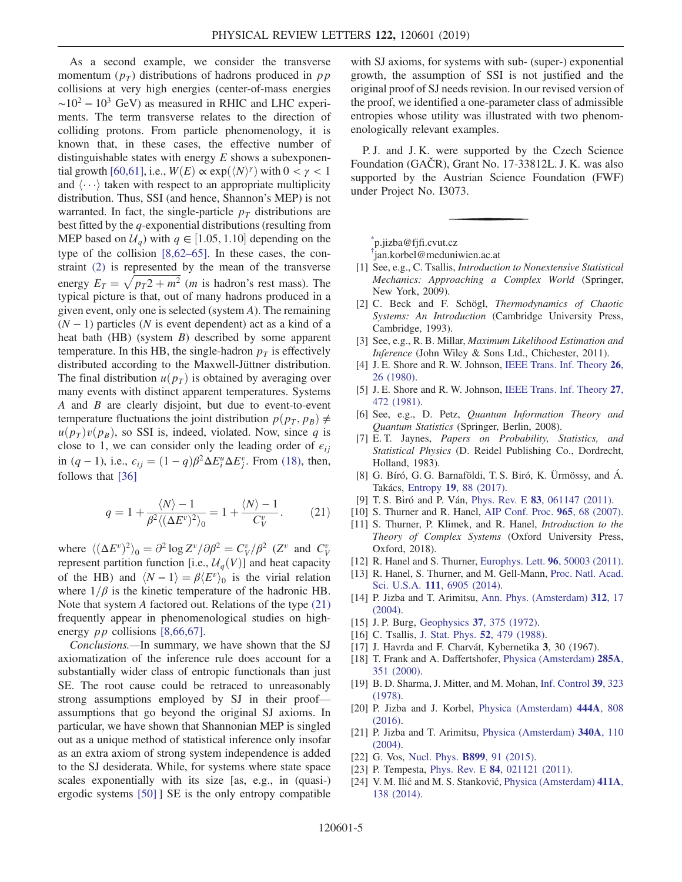As a second example, we consider the transverse momentum  $(p_T)$  distributions of hadrons produced in pp collisions at very high energies (center-of-mass energies  $\sim$ 10<sup>2</sup> − 10<sup>3</sup> GeV) as measured in RHIC and LHC experiments. The term transverse relates to the direction of colliding protons. From particle phenomenology, it is known that, in these cases, the effective number of distinguishable states with energy  $E$  shows a subexponen-tial growth [\[60,61\]](#page-5-17), i.e.,  $W(E) \propto \exp(\langle N \rangle)$  with  $0 < \gamma < 1$ and  $\langle \cdots \rangle$  taken with respect to an appropriate multiplicity distribution. Thus, SSI (and hence, Shannon's MEP) is not warranted. In fact, the single-particle  $p_T$  distributions are best fitted by the q-exponential distributions (resulting from MEP based on  $\mathcal{U}_q$ ) with  $q \in [1.05, 1.10]$  depending on the country of the collision  $[8.62, 65]$ . In these cases, the contype of the collision [\[8,62](#page-4-5)–65]. In these cases, the constraint [\(2\)](#page-0-0) is represented by the mean of the transverse energy  $E_T = \sqrt{p_T^2 + m^2}$  (*m* is hadron's rest mass). The typical picture is that out of many hadrons produced in a typical picture is that, out of many hadrons produced in a given event, only one is selected (system A). The remaining  $(N - 1)$  particles (N is event dependent) act as a kind of a heat bath (HB) (system B) described by some apparent temperature. In this HB, the single-hadron  $p<sub>T</sub>$  is effectively distributed according to the Maxwell-Jüttner distribution. The final distribution  $u(p_T)$  is obtained by averaging over many events with distinct apparent temperatures. Systems A and B are clearly disjoint, but due to event-to-event temperature fluctuations the joint distribution  $p(p_T, p_B) \neq$  $u(p_T)v(p_B)$ , so SSI is, indeed, violated. Now, since q is close to 1, we can consider only the leading order of  $\epsilon_{ij}$ in  $(q-1)$ , i.e.,  $\epsilon_{ij} = (1-q)\beta^2 \Delta E_i^u \Delta E_j^v$ . From [\(18\)](#page-3-3), then, follows that [26] follows that [\[36\]](#page-5-4)

<span id="page-4-20"></span>
$$
q = 1 + \frac{\langle N \rangle - 1}{\beta^2 \langle (\Delta E^v)^2 \rangle_0} = 1 + \frac{\langle N \rangle - 1}{C_V^v}.
$$
 (21)

where  $\langle (\Delta E^v)^2 \rangle_0 = \partial^2 \log Z^v / \partial \beta^2 = C_V^v / \beta^2$  (Z<sup>v</sup> and  $C_V^v$ )<br>represent partition function  $\mathbf{I} \in \mathcal{U}$  (V)] and heat capacity represent partition function [i.e.,  $\mathcal{U}_q(V)$ ] and heat capacity of the HB) and  $\langle N - 1 \rangle = \beta \langle E^v \rangle_0$  is the virial relation where  $1/\beta$  is the kinetic temperature of the hadronic HB. Note that system A factored out. Relations of the type [\(21\)](#page-4-20) frequently appear in phenomenological studies on highenergy *pp* collisions [\[8,66,67\]](#page-4-5).

Conclusions.—In summary, we have shown that the SJ axiomatization of the inference rule does account for a substantially wider class of entropic functionals than just SE. The root cause could be retraced to unreasonably strong assumptions employed by SJ in their proof assumptions that go beyond the original SJ axioms. In particular, we have shown that Shannonian MEP is singled out as a unique method of statistical inference only insofar as an extra axiom of strong system independence is added to the SJ desiderata. While, for systems where state space scales exponentially with its size [as, e.g., in (quasi-) ergodic systems [\[50\]](#page-5-11) ] SE is the only entropy compatible

with SJ axioms, for systems with sub- (super-) exponential growth, the assumption of SSI is not justified and the original proof of SJ needs revision. In our revised version of the proof, we identified a one-parameter class of admissible entropies whose utility was illustrated with two phenomenologically relevant examples.

P. J. and J. K. were supported by the Czech Science Foundation (GAČR), Grant No. 17-33812L. J. K. was also supported by the Austrian Science Foundation (FWF) under Project No. I3073.

<span id="page-4-1"></span><span id="page-4-0"></span>[\\*](#page-0-1) p.jizba@fjfi.cvut.cz

[†](#page-0-1) jan.korbel@meduniwien.ac.at

- <span id="page-4-2"></span>[1] See, e.g., C. Tsallis, *Introduction to Nonextensive Statistical* Mechanics: Approaching a Complex World (Springer, New York, 2009).
- <span id="page-4-18"></span>[2] C. Beck and F. Schögl, Thermodynamics of Chaotic Systems: An Introduction (Cambridge University Press, Cambridge, 1993).
- <span id="page-4-16"></span><span id="page-4-3"></span>[3] See, e.g., R. B. Millar, Maximum Likelihood Estimation and Inference (John Wiley & Sons Ltd., Chichester, 2011).
- [4] J. E. Shore and R. W. Johnson, [IEEE Trans. Inf. Theory](https://doi.org/10.1109/TIT.1980.1056144) 26, [26 \(1980\).](https://doi.org/10.1109/TIT.1980.1056144)
- <span id="page-4-4"></span>[5] J. E. Shore and R. W. Johnson, [IEEE Trans. Inf. Theory](https://doi.org/10.1109/TIT.1981.1056373) 27, [472 \(1981\)](https://doi.org/10.1109/TIT.1981.1056373).
- <span id="page-4-14"></span>[6] See, e.g., D. Petz, Quantum Information Theory and Quantum Statistics (Springer, Berlin, 2008).
- [7] E. T. Jaynes, Papers on Probability, Statistics, and Statistical Physics (D. Reidel Publishing Co., Dordrecht, Holland, 1983).
- <span id="page-4-5"></span>[8] G. Bíró, G. G. Barnaföldi, T. S. Biró, K. Ürmössy, and Á. Takács, Entropy 19[, 88 \(2017\)](https://doi.org/10.3390/e19030088).
- <span id="page-4-6"></span>[9] T. S. Biró and P. Ván, Phys. Rev. E 83[, 061147 \(2011\)](https://doi.org/10.1103/PhysRevE.83.061147).
- <span id="page-4-15"></span>[10] S. Thurner and R. Hanel, [AIP Conf. Proc.](https://doi.org/10.1063/1.2828761) 965, 68 (2007).
- [11] S. Thurner, P. Klimek, and R. Hanel, *Introduction to the* Theory of Complex Systems (Oxford University Press, Oxford, 2018).
- <span id="page-4-13"></span>[12] R. Hanel and S. Thurner, [Europhys. Lett.](https://doi.org/10.1209/0295-5075/96/50003) **96**, 50003 (2011).
- <span id="page-4-7"></span>[13] R. Hanel, S. Thurner, and M. Gell-Mann, [Proc. Natl. Acad.](https://doi.org/10.1073/pnas.1406071111) Sci. U.S.A. 111[, 6905 \(2014\)](https://doi.org/10.1073/pnas.1406071111).
- <span id="page-4-8"></span>[14] P. Jizba and T. Arimitsu, [Ann. Phys. \(Amsterdam\)](https://doi.org/10.1016/j.aop.2004.01.002) 312, 17 [\(2004\).](https://doi.org/10.1016/j.aop.2004.01.002)
- <span id="page-4-9"></span>[15] J. P. Burg, Geophysics 37[, 375 \(1972\).](https://doi.org/10.1190/1.1440265)
- [16] C. Tsallis, [J. Stat. Phys.](https://doi.org/10.1007/BF01016429) **52**, 479 (1988).
- [17] J. Havrda and F. Charvát, Kybernetika 3, 30 (1967).
- <span id="page-4-19"></span>[18] T. Frank and A. Daffertshofer, [Physica \(Amsterdam\)](https://doi.org/10.1016/S0378-4371(00)00178-3) 285A, [351 \(2000\)](https://doi.org/10.1016/S0378-4371(00)00178-3).
- <span id="page-4-17"></span>[19] B. D. Sharma, J. Mitter, and M. Mohan, [Inf. Control](https://doi.org/10.1016/S0019-9958(78)90671-X) 39, 323 [\(1978\).](https://doi.org/10.1016/S0019-9958(78)90671-X)
- [20] P. Jizba and J. Korbel, [Physica \(Amsterdam\)](https://doi.org/10.1016/j.physa.2015.10.084) 444A, 808 [\(2016\).](https://doi.org/10.1016/j.physa.2015.10.084)
- <span id="page-4-10"></span>[21] P. Jizba and T. Arimitsu, [Physica \(Amsterdam\)](https://doi.org/10.1016/j.physa.2004.03.085) 340A, 110 [\(2004\).](https://doi.org/10.1016/j.physa.2004.03.085)
- <span id="page-4-11"></span>[22] G. Vos, [Nucl. Phys.](https://doi.org/10.1016/j.nuclphysb.2015.07.013) **B899**, 91 (2015).
- <span id="page-4-12"></span>[23] P. Tempesta, Phys. Rev. E **84**[, 021121 \(2011\).](https://doi.org/10.1103/PhysRevE.84.021121)
- [24] V. M. Ilić and M. S. Stanković, [Physica \(Amsterdam\)](https://doi.org/10.1016/j.physa.2014.05.009) 411A, [138 \(2014\)](https://doi.org/10.1016/j.physa.2014.05.009).